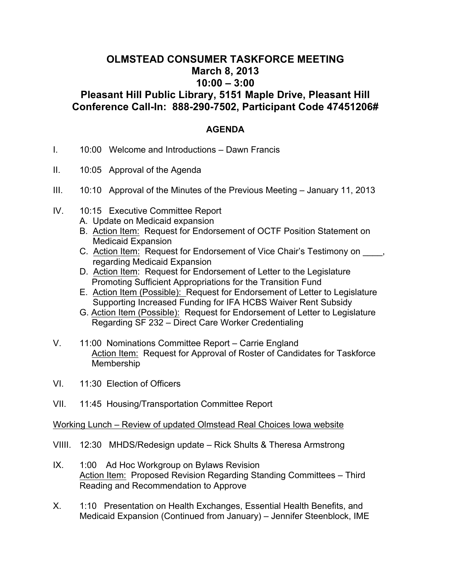## **OLMSTEAD CONSUMER TASKFORCE MEETING March 8, 2013 10:00 – 3:00 Pleasant Hill Public Library, 5151 Maple Drive, Pleasant Hill**

## **Conference Call-In: 888-290-7502, Participant Code 47451206#**

## **AGENDA**

- I. 10:00 Welcome and Introductions Dawn Francis
- II. 10:05 Approval of the Agenda
- III. 10:10 Approval of the Minutes of the Previous Meeting January 11, 2013
- IV. 10:15 Executive Committee Report
	- A. Update on Medicaid expansion
	- B. Action Item: Request for Endorsement of OCTF Position Statement on Medicaid Expansion
	- C. Action Item: Request for Endorsement of Vice Chair's Testimony on  $\blacksquare$ , regarding Medicaid Expansion
	- D. Action Item: Request for Endorsement of Letter to the Legislature Promoting Sufficient Appropriations for the Transition Fund
	- E. Action Item (Possible): Request for Endorsement of Letter to Legislature Supporting Increased Funding for IFA HCBS Waiver Rent Subsidy
	- G. Action Item (Possible): Request for Endorsement of Letter to Legislature Regarding SF 232 – Direct Care Worker Credentialing
- V. 11:00 Nominations Committee Report Carrie England Action Item: Request for Approval of Roster of Candidates for Taskforce **Membership**
- VI. 11:30 Election of Officers
- VII. 11:45 Housing/Transportation Committee Report

## Working Lunch – Review of updated Olmstead Real Choices Iowa website

- VIIII. 12:30 MHDS/Redesign update Rick Shults & Theresa Armstrong
- IX. 1:00 Ad Hoc Workgroup on Bylaws Revision Action Item: Proposed Revision Regarding Standing Committees – Third Reading and Recommendation to Approve
- X. 1:10 Presentation on Health Exchanges, Essential Health Benefits, and Medicaid Expansion (Continued from January) – Jennifer Steenblock, IME